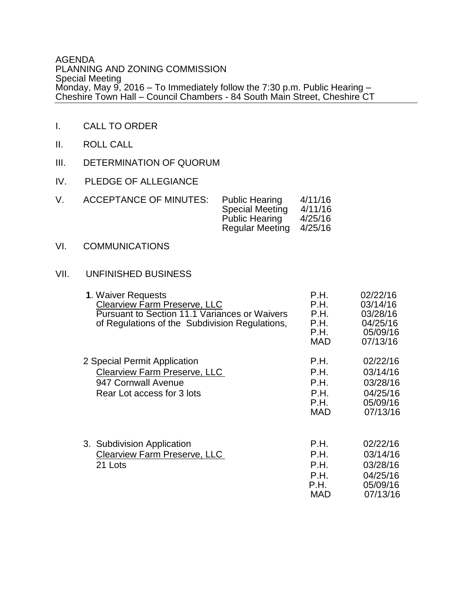## AGENDA PLANNING AND ZONING COMMISSION Special Meeting Monday, May 9, 2016 – To Immediately follow the 7:30 p.m. Public Hearing – Cheshire Town Hall – Council Chambers - 84 South Main Street, Cheshire CT

- I. CALL TO ORDER
- II. ROLL CALL
- III. DETERMINATION OF QUORUM
- IV. PLEDGE OF ALLEGIANCE

| V | <b>ACCEPTANCE OF MINUTES:</b> | <b>Public Hearing</b><br><b>Special Meeting</b><br><b>Public Hearing</b><br><b>Regular Meeting</b> | 4/11/16<br>4/11/16<br>4/25/16<br>4/25/16 |
|---|-------------------------------|----------------------------------------------------------------------------------------------------|------------------------------------------|
|   |                               |                                                                                                    |                                          |

VI. COMMUNICATIONS

## VII. UNFINISHED BUSINESS

| 1. Waiver Requests<br><b>Clearview Farm Preserve, LLC</b><br><b>Pursuant to Section 11.1 Variances or Waivers</b><br>of Regulations of the Subdivision Regulations, | P.H.<br>P.H.<br>P.H.<br>P.H.<br>P.H.<br><b>MAD</b> | 02/22/16<br>03/14/16<br>03/28/16<br>04/25/16<br>05/09/16<br>07/13/16 |
|---------------------------------------------------------------------------------------------------------------------------------------------------------------------|----------------------------------------------------|----------------------------------------------------------------------|
| 2 Special Permit Application<br><b>Clearview Farm Preserve, LLC</b><br>947 Cornwall Avenue<br>Rear Lot access for 3 lots                                            | P.H.<br>P.H.<br>P.H.<br>P.H.<br>P.H.<br><b>MAD</b> | 02/22/16<br>03/14/16<br>03/28/16<br>04/25/16<br>05/09/16<br>07/13/16 |
| 3. Subdivision Application<br><b>Clearview Farm Preserve, LLC</b><br>21 Lots                                                                                        | P.H.<br>P.H.<br>P.H.<br>P.H.<br>P.H.<br>MAD        | 02/22/16<br>03/14/16<br>03/28/16<br>04/25/16<br>05/09/16<br>07/13/16 |